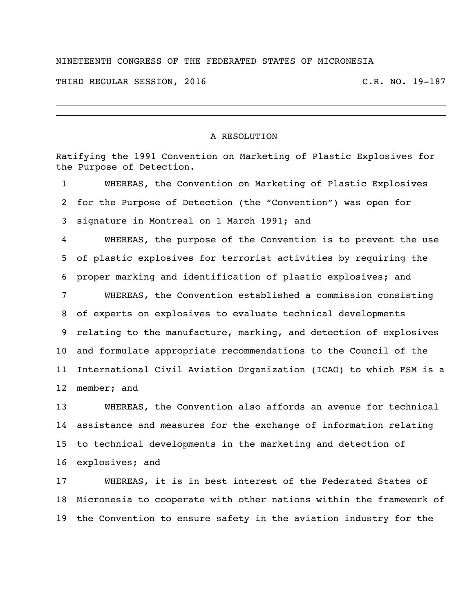## NINETEENTH CONGRESS OF THE FEDERATED STATES OF MICRONESIA

THIRD REGULAR SESSION, 2016 C.R. NO. 19-187

## A RESOLUTION

Ratifying the 1991 Convention on Marketing of Plastic Explosives for the Purpose of Detection.

 WHEREAS, the Convention on Marketing of Plastic Explosives for the Purpose of Detection (the "Convention") was open for signature in Montreal on 1 March 1991; and

 WHEREAS, the purpose of the Convention is to prevent the use of plastic explosives for terrorist activities by requiring the proper marking and identification of plastic explosives; and

 WHEREAS, the Convention established a commission consisting of experts on explosives to evaluate technical developments relating to the manufacture, marking, and detection of explosives and formulate appropriate recommendations to the Council of the International Civil Aviation Organization (ICAO) to which FSM is a member; and

 WHEREAS, the Convention also affords an avenue for technical assistance and measures for the exchange of information relating to technical developments in the marketing and detection of explosives; and

 WHEREAS, it is in best interest of the Federated States of Micronesia to cooperate with other nations within the framework of the Convention to ensure safety in the aviation industry for the